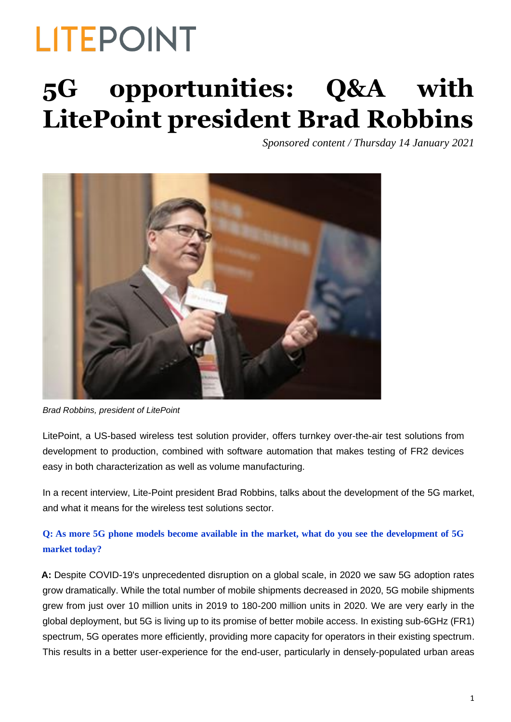### **5G opportunities: Q&A with LitePoint president Brad Robbins**

*Sponsored content / Thursday 14 January 2021*



*Brad Robbins, president of LitePoint*

LitePoint, a US-based wireless test solution provider, offers turnkey over-the-air test solutions from development to production, combined with software automation that makes testing of FR2 devices easy in both characterization as well as volume manufacturing.

In a recent interview, Lite-Point president Brad Robbins, talks about the development of the 5G market, and what it means for the wireless test solutions sector.

#### **Q: As more 5G phone models become available in the market, what do you see the development of 5G market today?**

**A:** Despite COVID-19's unprecedented disruption on a global scale, in 2020 we saw 5G adoption rates grow dramatically. While the total number of mobile shipments decreased in 2020, 5G mobile shipments grew from just over 10 million units in 2019 to 180-200 million units in 2020. We are very early in the global deployment, but 5G is living up to its promise of better mobile access. In existing sub-6GHz (FR1) spectrum, 5G operates more efficiently, providing more capacity for operators in their existing spectrum. This results in a better user-experience for the end-user, particularly in densely-populated urban areas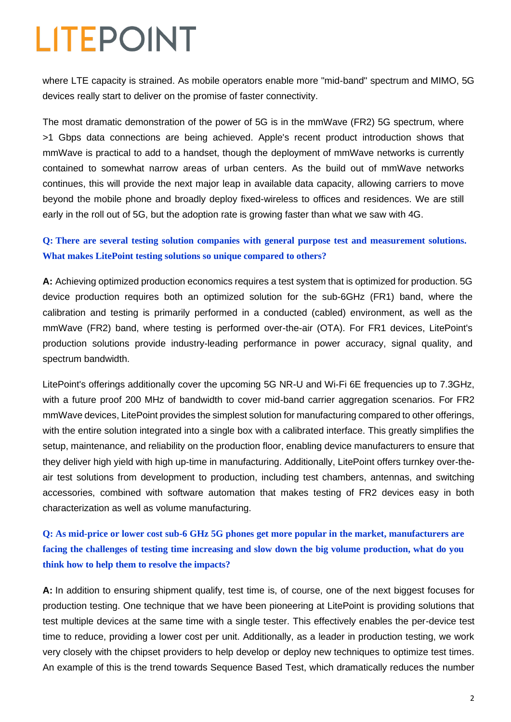where LTE capacity is strained. As mobile operators enable more "mid-band" spectrum and MIMO, 5G devices really start to deliver on the promise of faster connectivity.

The most dramatic demonstration of the power of 5G is in the mmWave (FR2) 5G spectrum, where >1 Gbps data connections are being achieved. Apple's recent product introduction shows that mmWave is practical to add to a handset, though the deployment of mmWave networks is currently contained to somewhat narrow areas of urban centers. As the build out of mmWave networks continues, this will provide the next major leap in available data capacity, allowing carriers to move beyond the mobile phone and broadly deploy fixed-wireless to offices and residences. We are still early in the roll out of 5G, but the adoption rate is growing faster than what we saw with 4G.

#### **Q: There are several testing solution companies with general purpose test and measurement solutions. What makes LitePoint testing solutions so unique compared to others?**

**A:** Achieving optimized production economics requires a test system that is optimized for production. 5G device production requires both an optimized solution for the sub-6GHz (FR1) band, where the calibration and testing is primarily performed in a conducted (cabled) environment, as well as the mmWave (FR2) band, where testing is performed over-the-air (OTA). For FR1 devices, LitePoint's production solutions provide industry-leading performance in power accuracy, signal quality, and spectrum bandwidth.

LitePoint's offerings additionally cover the upcoming 5G NR-U and Wi-Fi 6E frequencies up to 7.3GHz, with a future proof 200 MHz of bandwidth to cover mid-band carrier aggregation scenarios. For FR2 mmWave devices, LitePoint provides the simplest solution for manufacturing compared to other offerings, with the entire solution integrated into a single box with a calibrated interface. This greatly simplifies the setup, maintenance, and reliability on the production floor, enabling device manufacturers to ensure that they deliver high yield with high up-time in manufacturing. Additionally, LitePoint offers turnkey over-theair test solutions from development to production, including test chambers, antennas, and switching accessories, combined with software automation that makes testing of FR2 devices easy in both characterization as well as volume manufacturing.

#### **Q: As mid-price or lower cost sub-6 GHz 5G phones get more popular in the market, manufacturers are facing the challenges of testing time increasing and slow down the big volume production, what do you think how to help them to resolve the impacts?**

**A:** In addition to ensuring shipment qualify, test time is, of course, one of the next biggest focuses for production testing. One technique that we have been pioneering at LitePoint is providing solutions that test multiple devices at the same time with a single tester. This effectively enables the per-device test time to reduce, providing a lower cost per unit. Additionally, as a leader in production testing, we work very closely with the chipset providers to help develop or deploy new techniques to optimize test times. An example of this is the trend towards Sequence Based Test, which dramatically reduces the number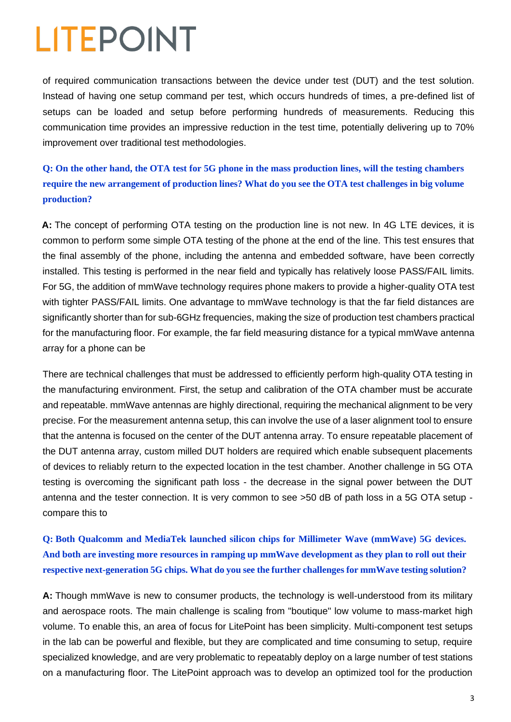of required communication transactions between the device under test (DUT) and the test solution. Instead of having one setup command per test, which occurs hundreds of times, a pre-defined list of setups can be loaded and setup before performing hundreds of measurements. Reducing this communication time provides an impressive reduction in the test time, potentially delivering up to 70% improvement over traditional test methodologies.

**Q: On the other hand, the OTA test for 5G phone in the mass production lines, will the testing chambers require the new arrangement of production lines? What do you see the OTA test challenges in big volume production?**

**A:** The concept of performing OTA testing on the production line is not new. In 4G LTE devices, it is common to perform some simple OTA testing of the phone at the end of the line. This test ensures that the final assembly of the phone, including the antenna and embedded software, have been correctly installed. This testing is performed in the near field and typically has relatively loose PASS/FAIL limits. For 5G, the addition of mmWave technology requires phone makers to provide a higher-quality OTA test with tighter PASS/FAIL limits. One advantage to mmWave technology is that the far field distances are significantly shorter than for sub-6GHz frequencies, making the size of production test chambers practical for the manufacturing floor. For example, the far field measuring distance for a typical mmWave antenna array for a phone can be

There are technical challenges that must be addressed to efficiently perform high-quality OTA testing in the manufacturing environment. First, the setup and calibration of the OTA chamber must be accurate and repeatable. mmWave antennas are highly directional, requiring the mechanical alignment to be very precise. For the measurement antenna setup, this can involve the use of a laser alignment tool to ensure that the antenna is focused on the center of the DUT antenna array. To ensure repeatable placement of the DUT antenna array, custom milled DUT holders are required which enable subsequent placements of devices to reliably return to the expected location in the test chamber. Another challenge in 5G OTA testing is overcoming the significant path loss - the decrease in the signal power between the DUT antenna and the tester connection. It is very common to see >50 dB of path loss in a 5G OTA setup compare this to

**Q: Both Qualcomm and MediaTek launched silicon chips for Millimeter Wave (mmWave) 5G devices. And both are investing more resources in ramping up mmWave development as they plan to roll out their respective next-generation 5G chips. What do you see the further challenges for mmWave testing solution?**

**A:** Though mmWave is new to consumer products, the technology is well-understood from its military and aerospace roots. The main challenge is scaling from "boutique" low volume to mass-market high volume. To enable this, an area of focus for LitePoint has been simplicity. Multi-component test setups in the lab can be powerful and flexible, but they are complicated and time consuming to setup, require specialized knowledge, and are very problematic to repeatably deploy on a large number of test stations on a manufacturing floor. The LitePoint approach was to develop an optimized tool for the production